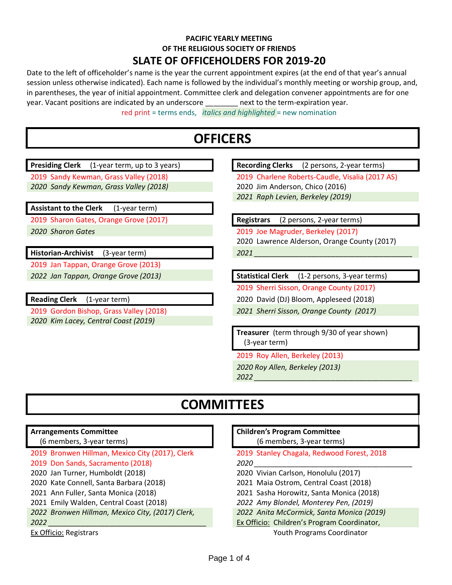### **PACIFIC YEARLY MEETING OF THE RELIGIOUS SOCIETY OF FRIENDS**

### **SLATE OF OFFICEHOLDERS FOR 2019-20**

Date to the left of officeholder's name is the year the current appointment expires (at the end of that year's annual session unless otherwise indicated). Each name is followed by the individual's monthly meeting or worship group, and, in parentheses, the year of initial appointment. Committee clerk and delegation convener appointments are for one year. Vacant positions are indicated by an underscore \_\_\_\_\_\_\_\_ next to the term-expiration year.

red print = terms ends, *italics and highlighted* = new nomination

## **OFFICERS**

**Presiding Clerk** (1-year term, up to 3 years) **Recording Clerks** (2 persons, 2-year terms) 2019 Sandy Kewman, Grass Valley (2018) 2019 Charlene Roberts-Caudle, Visalia (2017 AS) *2020 Sandy Kewman, Grass Valley (2018)* 2020 Jim Anderson, Chico (2016) *2021 Raph Levien, Berkeley (2019)* **Assistant to the Clerk** (1-year term) 2019 Sharon Gates, Orange Grove (2017) **Registrars** (2 persons, 2-year terms) *2020 Sharon Gates* 2019 Joe Magruder, Berkeley (2017) 2020 Lawrence Alderson, Orange County (2017) Historian-Archivist (3-year term) **12021** 2019 Jan Tappan, Orange Grove (2013) *2022 Jan Tappan, Orange Grove (2013)* **Statistical Clerk** (1-2 persons, 3-year terms) 2019 Sherri Sisson, Orange County (2017) **Reading Clerk** (1-year term) 2020 David (DJ) Bloom, Appleseed (2018) 2019 Gordon Bishop, Grass Valley (2018) *2021 Sherri Sisson, Orange County (2017) 2020 Kim Lacey, Central Coast (2019)* **Treasurer** (term through 9/30 of year shown) (3-year term) 2019 Roy Allen, Berkeley (2013) *2020 Roy Allen, Berkeley (2013) 2022 \_\_\_\_\_\_\_\_\_\_\_\_\_\_\_\_\_\_\_\_\_\_\_\_\_\_\_\_\_\_\_\_\_\_\_\_\_\_\_* **COMMITTEES Arrangements Committee** (6 members, 3-year terms) **Children's Program Committee** 

- 2019 Bronwen Hillman, Mexico City (2017), Clerk 2019 Stanley Chagala, Redwood Forest, 2018
- 2019 Don Sands, Sacramento (2018) *2020 \_\_\_\_\_\_\_\_\_\_\_\_\_\_\_\_\_\_\_\_\_\_\_\_\_\_\_\_\_\_\_\_\_\_\_\_\_\_\_*
- 2020 Jan Turner, Humboldt (2018) 2020 Vivian Carlson, Honolulu (2017)
- 2020 Kate Connell, Santa Barbara (2018) 2021 Maia Ostrom, Central Coast (2018)
- 
- 2021 Emily Walden, Central Coast (2018) *2022 Amy Blondel, Monterey Pen, (2019)*
- *2022 Bronwen Hillman, Mexico City, (2017) Clerk, 2022 Anita McCormick, Santa Monica (2019)*
- Ex Officio: Registrars Youth Programs Coordinator
- (6 members, 3-year terms)
- 
- 
- 
- 
- 2021 Ann Fuller, Santa Monica (2018) 2021 Sasha Horowitz, Santa Monica (2018)
	-
	-
- *2022 \_\_\_\_\_\_\_\_\_\_\_\_\_\_\_\_\_\_\_\_\_\_\_\_\_\_\_\_\_\_\_\_\_\_\_\_\_\_\_* Ex Officio: Children's Program Coordinator,
	-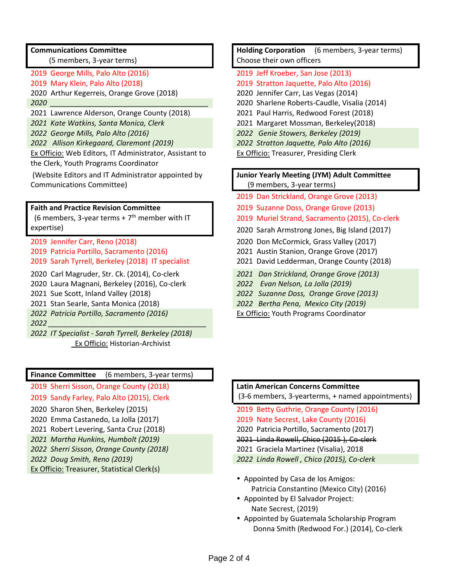### **Communications Committee**

(5 members, 3-year terms)

- 
- 2020 Arthur Kegerreis, Orange Grove (2018) 2020 Jennifer Carr, Las Vegas (2014)
- 
- 2021 Lawrence Alderson, Orange County (2018) 2021 Paul Harris, Redwood Forest (2018)
- *2021 Kate Watkins, Santa Monica, Clerk* 2021 Margaret Mossman, Berkeley(2018)
- 
- *2022 Allison Kirkegaard, Claremont (2019) 2022 Stratton Jaquette, Palo Alto (2016)*

Ex Officio: Web Editors, IT Administrator, Assistant to the Clerk, Youth Programs Coordinator

(Website Editors and IT Administrator appointed by Communications Committee)

### **Faith and Practice Revision Committee**

 $(6$  members, 3-year terms +  $7<sup>th</sup>$  member with IT expertise)

2019 Jennifer Carr, Reno (2018) 2020 Don McCormick, Grass Valley (2017) 2019 Patricia Portillo, Sacramento (2016) 2021 Austin Stanion, Orange Grove (2017) 2019 Sarah Tyrrell, Berkeley (2018) IT specialist 2021 David Ledderman, Orange County (2018)

2020 Carl Magruder, Str. Ck. (2014), Co-clerk *2021 Dan Strickland, Orange Grove (2013)*

- 2020 Laura Magnani, Berkeley (2016), Co-clerk *2022 Evan Nelson, La Jolla (2019)*
- 

*2022 Patricia Portillo, Sacramento (2016)*

*2022 \_\_\_\_\_\_\_\_\_\_\_\_\_\_\_\_\_\_\_\_\_\_\_\_\_\_\_\_\_\_\_\_\_\_\_\_\_\_\_*

*2022 IT Specialist - Sarah Tyrrell, Berkeley (2018)* **Ex Officio: Historian-Archivist** 

### **Finance Committee** (6 members, 3-year terms)

2019 Sherri Sisson, Orange County (2018) **Latin American Concerns Committee**

- 2020 Sharon Shen, Berkeley (2015) 2019 Betty Guthrie, Orange County (2016)
- 2020 Emma Castanedo, La Jolla (2017) 2019 Nate Secrest, Lake County (2016)
- 2021 Robert Levering, Santa Cruz (2018) 2020 Patricia Portillo, Sacramento (2017)
- *2021 Martha Hunkins, Humbolt (2019)* 2021 Linda Rowell, Chico (2015 ), Co-clerk
- *2022 Sherri Sisson, Orange County (2018)* 2021 Graciela Martinez (Visalia), 2018
- 

Ex Officio: Treasurer, Statistical Clerk(s)

**Holding Corporation** (6 members, 3-year terms) Choose their own officers

- 2019 George Mills, Palo Alto (2016) 2019 Jeff Kroeber, San Jose (2013)
- 2019 Mary Klein, Palo Alto (2018) 2019 Stratton Jaquette, Palo Alto (2016)
	-
- *2020 \_\_\_\_\_\_\_\_\_\_\_\_\_\_\_\_\_\_\_\_\_\_\_\_\_\_\_\_\_\_\_\_\_\_\_\_\_\_\_* 2020 Sharlene Roberts-Caudle, Visalia (2014)
	-
	-
- *2022 George Mills, Palo Alto (2016) 2022 Genie Stowers, Berkeley (2019)*
	-
	- Ex Officio: Treasurer, Presiding Clerk

### **Junior Yearly Meeting (JYM) Adult Committee** (9 members, 3-year terms)

- 2019 Dan Strickland, Orange Grove (2013)
- 2019 Suzanne Doss, Orange Grove (2013)
- 2019 Muriel Strand, Sacramento (2015), Co-clerk
- 2020 Sarah Armstrong Jones, Big Island (2017)
- 
- 
- 
- 
- 
- 2021 Sue Scott, Inland Valley (2018) *2022 Suzanne Doss, Orange Grove (2013)*
- 2021 Stan Searle, Santa Monica (2018) *2022 Bertha Pena, Mexico City (2019)*
	- Ex Officio: Youth Programs Coordinator

## 2019 Sandy Farley, Palo Alto (2015), Clerk (3-6 members, 3-yearterms, + named appointments)

- 
- 
- 
- 
- *2022 Doug Smith, Reno (2019) 2022 Linda Rowell , Chico (2015), Co-clerk*
	- Appointed by Casa de los Amigos: Patricia Constantino (Mexico City) (2016)
	- Appointed by El Salvador Project: Nate Secrest, (2019)
	- Appointed by Guatemala Scholarship Program Donna Smith (Redwood For.) (2014), Co-clerk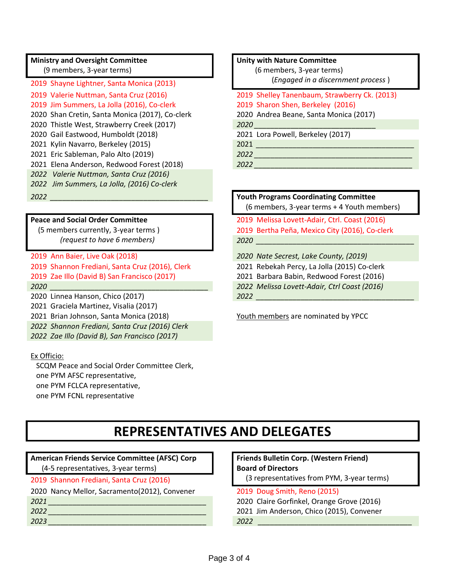### **Ministry and Oversight Committee**

(9 members, 3-year terms)

2019 Shayne Lightner, Santa Monica (2013) 2019 Jim Summers, La Jolla (2016), Co-clerk 2019 Sharon Shen, Berkeley (2016) 2020 Shan Cretin, Santa Monica (2017), Co-clerk 2020 Andrea Beane, Santa Monica (2017) 2020 Thistle West, Strawberry Creek (2017) *2020 \_\_\_\_\_\_\_\_\_\_\_\_\_\_\_\_\_\_\_\_\_\_\_\_\_\_\_\_\_\_* 2020 Gail Eastwood, Humboldt (2018) 2021 Lora Powell, Berkeley (2017) 2021 Kylin Navarro, Berkeley (2015) 2021 *\_\_\_\_\_\_\_\_\_\_\_\_\_\_\_\_\_\_\_\_\_\_\_\_\_\_\_\_\_\_\_\_\_\_\_\_\_\_\_* 2021 Eric Sableman, Palo Alto (2019) *2022 \_\_\_\_\_\_\_\_\_\_\_\_\_\_\_\_\_\_\_\_\_\_\_\_\_\_\_\_\_\_\_\_\_\_\_\_\_\_\_* 2021 Elena Anderson, Redwood Forest (2018) *2022 \_\_\_\_\_\_\_\_\_\_\_\_\_\_\_\_\_\_\_\_\_\_\_\_\_\_\_\_\_\_\_\_\_\_\_\_\_\_\_ 2022 Valerie Nuttman, Santa Cruz (2016) 2022 Jim Summers, La Jolla, (2016) Co-clerk*

### **Peace and Social Order Committee**

 (5 members currently, 3-year terms )  *(request to have 6 members)*

2019 Ann Baier, Live Oak (2018) *2020 Nate Secrest, Lake County, (2019)* 2019 Shannon Frediani, Santa Cruz (2016), Clerk 2021 Rebekah Percy, La Jolla (2015) Co-clerk 2019 Zae Illo (David B) San Francisco (2017) 2021 Barbara Babin, Redwood Forest (2016)

2020 Linnea Hanson, Chico (2017) *2022 \_\_\_\_\_\_\_\_\_\_\_\_\_\_\_\_\_\_\_\_\_\_\_\_\_\_\_\_\_\_\_\_\_\_\_\_\_\_\_*

2021 Graciela Martinez, Visalia (2017)

2021 Brian Johnson, Santa Monica (2018) Youth members are nominated by YPCC

*2022 Shannon Frediani, Santa Cruz (2016) Clerk*

*2022 Zae Illo (David B), San Francisco (2017)*

### Ex Officio:

 SCQM Peace and Social Order Committee Clerk, one PYM AFSC representative, one PYM FCLCA representative, one PYM FCNL representative

#### **Unity with Nature Committee**

 (6 members, 3-year terms) (*Engaged in a discernment process* )

# 2019 Valerie Nuttman, Santa Cruz (2016) 2019 Shelley Tanenbaum, Strawberry Ck. (2013)

## *2022 \_\_\_\_\_\_\_\_\_\_\_\_\_\_\_\_\_\_\_\_\_\_\_\_\_\_\_\_\_\_\_\_\_\_\_\_\_\_\_* **Youth Programs Coordinating Committee**

(6 members, 3-year terms + 4 Youth members)

2019 Melissa Lovett-Adair, Ctrl. Coast (2016) 2019 Bertha Peña, Mexico City (2016), Co-clerk *2020 \_\_\_\_\_\_\_\_\_\_\_\_\_\_\_\_\_\_\_\_\_\_\_\_\_\_\_\_\_\_\_\_\_\_\_\_\_\_\_*

- 
- 
- *2020 \_\_\_\_\_\_\_\_\_\_\_\_\_\_\_\_\_\_\_\_\_\_\_\_\_\_\_\_\_\_\_\_\_\_\_\_\_\_\_ 2022 Melissa Lovett-Adair, Ctrl Coast (2016)*

### **REPRESENTATIVES AND DELEGATES**

### **American Friends Service Committee (AFSC) Corp**

(4-5 representatives, 3-year terms)

- 
- 2020 Nancy Mellor, Sacramento(2012), Convener 2019 Doug Smith, Reno (2015)
- -

### **Friends Bulletin Corp. (Western Friend) Board of Directors**

- 2019 Shannon Frediani, Santa Cruz (2016) (3 representatives from PYM, 3-year terms)
	-
- *2021 \_\_\_\_\_\_\_\_\_\_\_\_\_\_\_\_\_\_\_\_\_\_\_\_\_\_\_\_\_\_\_\_\_\_\_\_\_\_\_* 2020 Claire Gorfinkel, Orange Grove (2016)
- *2022 \_\_\_\_\_\_\_\_\_\_\_\_\_\_\_\_\_\_\_\_\_\_\_\_\_\_\_\_\_\_\_\_\_\_\_\_\_\_\_* 2021 Jim Anderson, Chico (2015), Convener
- *2023 \_\_\_\_\_\_\_\_\_\_\_\_\_\_\_\_\_\_\_\_\_\_\_\_\_\_\_\_\_\_\_\_\_\_\_\_\_\_\_ 2022 \_\_\_\_\_\_\_\_\_\_\_\_\_\_\_\_\_\_\_\_\_\_\_\_\_\_\_\_\_\_\_\_\_\_\_\_\_\_*